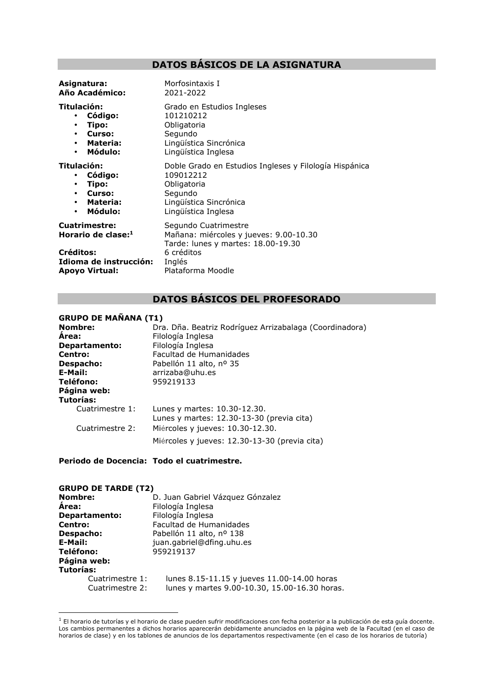# **DATOS BÁSICOS DE LA ASIGNATURA**

| Asignatura:<br>Año Académico:                                                                                                     | Morfosintaxis I<br>2021-2022                                                                                                                      |
|-----------------------------------------------------------------------------------------------------------------------------------|---------------------------------------------------------------------------------------------------------------------------------------------------|
| Titulación:<br>Código:<br>$\bullet$<br>Tipo:<br>$\bullet$<br>Curso:<br>$\bullet$<br>Materia:<br>$\bullet$<br>Módulo:<br>$\bullet$ | Grado en Estudios Ingleses<br>101210212<br>Obligatoria<br>Segundo<br>Lingüística Sincrónica<br>Lingüística Inglesa                                |
| Titulación:<br>Código:<br>٠<br>Tipo:<br>$\bullet$<br>Curso:<br>$\bullet$<br>Materia:<br>$\bullet$<br>Módulo:<br>$\bullet$         | Doble Grado en Estudios Ingleses y Filología Hispánica<br>109012212<br>Obligatoria<br>Segundo<br>Lingüística Sincrónica<br>Lingüística Inglesa    |
| <b>Cuatrimestre:</b><br>Horario de clase:1<br>Créditos:<br>Idioma de instrucción:<br><b>Apoyo Virtual:</b>                        | Segundo Cuatrimestre<br>Mañana: miércoles y jueves: 9.00-10.30<br>Tarde: lunes y martes: 18.00-19.30<br>6 créditos<br>Inglés<br>Plataforma Moodle |

# **DATOS BÁSICOS DEL PROFESORADO**

# **GRUPO DE MAÑANA (T1)**

| <b>Nombre:</b><br><b>Area:</b><br>Departamento:<br>Centro:<br>Despacho:<br>E-Mail:<br>Teléfono:<br>Página web:<br>Tutorías: | Dra. Dña. Beatriz Rodríguez Arrizabalaga (Coordinadora)<br>Filología Inglesa<br>Filología Inglesa<br>Facultad de Humanidades<br>Pabellón 11 alto, nº 35<br>arrizaba@uhu.es<br>959219133 |
|-----------------------------------------------------------------------------------------------------------------------------|-----------------------------------------------------------------------------------------------------------------------------------------------------------------------------------------|
| Cuatrimestre 1:                                                                                                             | Lunes y martes: 10.30-12.30.<br>Lunes y martes: 12.30-13-30 (previa cita)                                                                                                               |
| Cuatrimestre 2:                                                                                                             | Miércoles y jueves: 10.30-12.30.<br>Miércoles y jueves: 12.30-13-30 (previa cita)                                                                                                       |

## **Periodo de Docencia: Todo el cuatrimestre.**

| <b>GRUPO DE TARDE (T2)</b> |                                               |
|----------------------------|-----------------------------------------------|
| Nombre:                    | D. Juan Gabriel Vázquez Gónzalez              |
| <b>Area:</b>               | Filología Inglesa                             |
| <b>Departamento:</b>       | Filología Inglesa                             |
| Centro:                    | Facultad de Humanidades                       |
| Despacho:                  | Pabellón 11 alto, nº 138                      |
| E-Mail:                    | juan.gabriel@dfing.uhu.es                     |
| Teléfono:                  | 959219137                                     |
| Página web:                |                                               |
| <b>Tutorías:</b>           |                                               |
| Cuatrimestre 1:            | lunes 8.15-11.15 y jueves 11.00-14.00 horas   |
| Cuatrimestre 2:            | lunes y martes 9.00-10.30, 15.00-16.30 horas. |

 $1$  El horario de tutorías y el horario de clase pueden sufrir modificaciones con fecha posterior a la publicación de esta guía docente. Los cambios permanentes a dichos horarios aparecerán debidamente anunciados en la página web de la Facultad (en el caso de horarios de clase) y en los tablones de anuncios de los departamentos respectivamente (en el caso de los horarios de tutoría)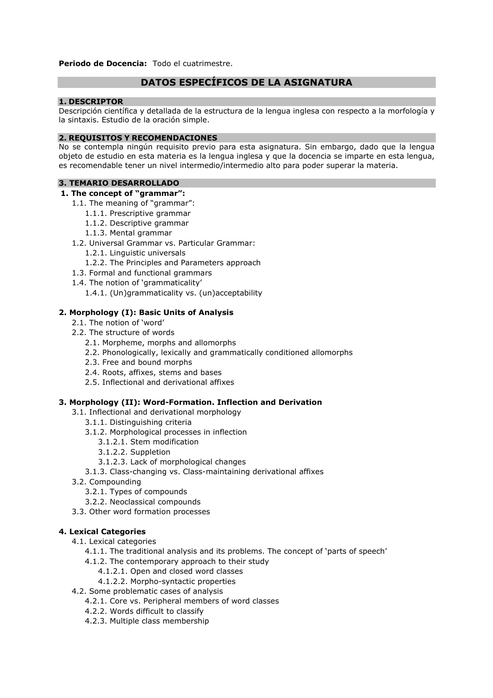**Periodo de Docencia:** Todo el cuatrimestre.

# **DATOS ESPECÍFICOS DE LA ASIGNATURA**

## **1. DESCRIPTOR**

Descripción científica y detallada de la estructura de la lengua inglesa con respecto a la morfología y la sintaxis. Estudio de la oración simple.

### **2. REQUISITOS Y RECOMENDACIONES**

No se contempla ningún requisito previo para esta asignatura. Sin embargo, dado que la lengua objeto de estudio en esta materia es la lengua inglesa y que la docencia se imparte en esta lengua, es recomendable tener un nivel intermedio/intermedio alto para poder superar la materia.

## **3. TEMARIO DESARROLLADO**

#### **1. The concept of "grammar":**

- 1.1. The meaning of "grammar":
	- 1.1.1. Prescriptive grammar
	- 1.1.2. Descriptive grammar
	- 1.1.3. Mental grammar
- 1.2. Universal Grammar vs. Particular Grammar:
	- 1.2.1. Linguistic universals
	- 1.2.2. The Principles and Parameters approach
- 1.3. Formal and functional grammars
- 1.4. The notion of 'grammaticality'
	- 1.4.1. (Un)grammaticality vs. (un)acceptability

## **2. Morphology (I): Basic Units of Analysis**

- 2.1. The notion of 'word'
- 2.2. The structure of words
	- 2.1. Morpheme, morphs and allomorphs
	- 2.2. Phonologically, lexically and grammatically conditioned allomorphs
	- 2.3. Free and bound morphs
	- 2.4. Roots, affixes, stems and bases
	- 2.5. Inflectional and derivational affixes

## **3. Morphology (II): Word-Formation. Inflection and Derivation**

- 3.1. Inflectional and derivational morphology
	- 3.1.1. Distinguishing criteria
	- 3.1.2. Morphological processes in inflection
		- 3.1.2.1. Stem modification
		- 3.1.2.2. Suppletion
		- 3.1.2.3. Lack of morphological changes
	- 3.1.3. Class-changing vs. Class-maintaining derivational affixes
- 3.2. Compounding
	- 3.2.1. Types of compounds
	- 3.2.2. Neoclassical compounds
- 3.3. Other word formation processes

#### **4. Lexical Categories**

- 4.1. Lexical categories
	- 4.1.1. The traditional analysis and its problems. The concept of 'parts of speech'
	- 4.1.2. The contemporary approach to their study
		- 4.1.2.1. Open and closed word classes
		- 4.1.2.2. Morpho-syntactic properties
- 4.2. Some problematic cases of analysis
	- 4.2.1. Core vs. Peripheral members of word classes
	- 4.2.2. Words difficult to classify
	- 4.2.3. Multiple class membership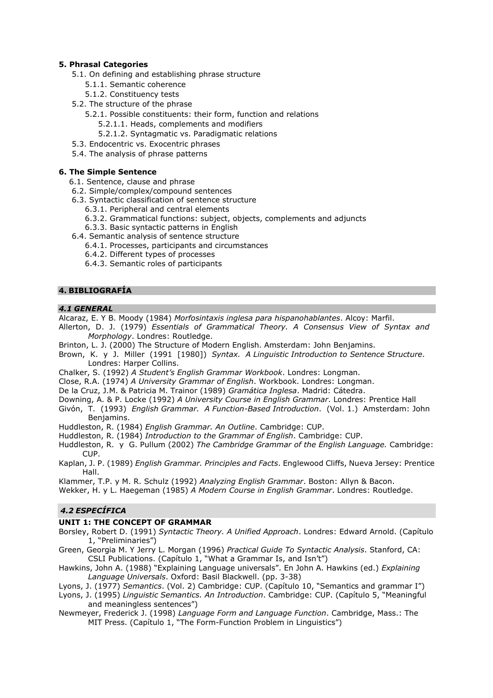# **5. Phrasal Categories**

- 5.1. On defining and establishing phrase structure
	- 5.1.1. Semantic coherence
	- 5.1.2. Constituency tests
- 5.2. The structure of the phrase
	- 5.2.1. Possible constituents: their form, function and relations
		- 5.2.1.1. Heads, complements and modifiers
		- 5.2.1.2. Syntagmatic vs. Paradigmatic relations
- 5.3. Endocentric vs. Exocentric phrases
- 5.4. The analysis of phrase patterns

# **6. The Simple Sentence**

- 6.1. Sentence, clause and phrase
- 6.2. Simple/complex/compound sentences
- 6.3. Syntactic classification of sentence structure
	- 6.3.1. Peripheral and central elements
	- 6.3.2. Grammatical functions: subject, objects, complements and adjuncts
	- 6.3.3. Basic syntactic patterns in English
- 6.4. Semantic analysis of sentence structure
	- 6.4.1. Processes, participants and circumstances
	- 6.4.2. Different types of processes
	- 6.4.3. Semantic roles of participants

# **4. BIBLIOGRAFÍA**

## *4.1 GENERAL*

Alcaraz, E. Y B. Moody (1984) *Morfosintaxis inglesa para hispanohablantes*. Alcoy: Marfil.

- Allerton, D. J. (1979) *Essentials of Grammatical Theory. A Consensus View of Syntax and Morphology*. Londres: Routledge.
- Brinton, L. J. (2000) The Structure of Modern English. Amsterdam: John Benjamins.
- Brown, K. y J. Miller (1991 [1980]) *Syntax. A Linguistic Introduction to Sentence Structure*. Londres: Harper Collins.
- Chalker, S. (1992) *A Student's English Grammar Workbook*. Londres: Longman.
- Close, R.A. (1974) *A University Grammar of English*. Workbook. Londres: Longman.
- De la Cruz, J.M. & Patricia M. Trainor (1989) *Gramática Inglesa*. Madrid: Cátedra.
- Downing, A. & P. Locke (1992) *A University Course in English Grammar*. Londres: Prentice Hall
- Givón, T. (1993) *English Grammar. A Function-Based Introduction*. (Vol. 1.) Amsterdam: John Benjamins.
- Huddleston, R. (1984) *English Grammar. An Outline*. Cambridge: CUP.
- Huddleston, R. (1984) *Introduction to the Grammar of English*. Cambridge: CUP.
- Huddleston, R. y G. Pullum (2002) *The Cambridge Grammar of the English Language.* Cambridge: CUP.
- Kaplan, J. P. (1989) *English Grammar. Principles and Facts*. Englewood Cliffs, Nueva Jersey: Prentice Hall.
- Klammer, T.P. y M. R. Schulz (1992) *Analyzing English Grammar*. Boston: Allyn & Bacon. Wekker, H. y L. Haegeman (1985) *A Modern Course in English Grammar*. Londres: Routledge.

# *4.2 ESPECÍFICA*

# **UNIT 1: THE CONCEPT OF GRAMMAR**

- Borsley, Robert D. (1991) *Syntactic Theory. A Unified Approach*. Londres: Edward Arnold. (Capítulo 1, "Preliminaries")
- Green, Georgia M. Y Jerry L. Morgan (1996) *Practical Guide To Syntactic Analysis*. Stanford, CA: CSLI Publications. (Capítulo 1, "What a Grammar Is, and Isn't")
- Hawkins, John A. (1988) "Explaining Language universals". En John A. Hawkins (ed.) *Explaining Language Universals*. Oxford: Basil Blackwell. (pp. 3-38)
- Lyons, J. (1977) *Semantics*. (Vol. 2) Cambridge: CUP. (Capítulo 10, "Semantics and grammar I")
- Lyons, J. (1995) *Linguistic Semantics. An Introduction*. Cambridge: CUP. (Capítulo 5, "Meaningful and meaningless sentences")
- Newmeyer, Frederick J. (1998) *Language Form and Language Function*. Cambridge, Mass.: The MIT Press. (Capítulo 1, "The Form-Function Problem in Linguistics")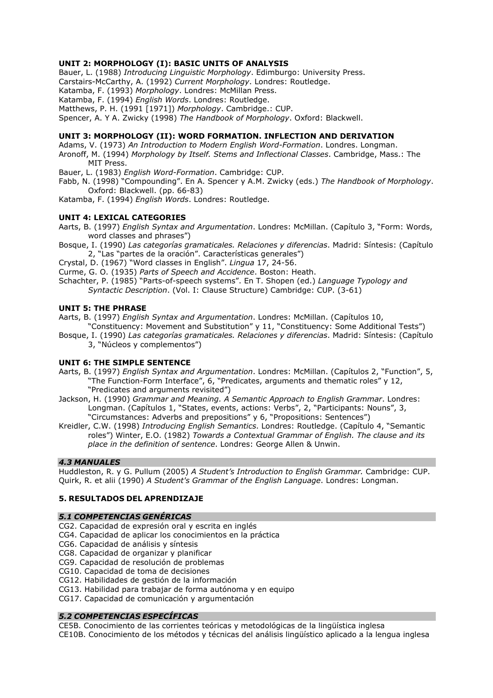## **UNIT 2: MORPHOLOGY (I): BASIC UNITS OF ANALYSIS**

Bauer, L. (1988) *Introducing Linguistic Morphology*. Edimburgo: University Press.

Carstairs-McCarthy, A. (1992) *Current Morphology*. Londres: Routledge.

Katamba, F. (1993) *Morphology*. Londres: McMillan Press.

Katamba, F. (1994) *English Words*. Londres: Routledge.

Matthews, P. H. (1991 [1971]) *Morphology*. Cambridge.: CUP.

Spencer, A. Y A. Zwicky (1998) *The Handbook of Morphology*. Oxford: Blackwell.

### **UNIT 3: MORPHOLOGY (II): WORD FORMATION. INFLECTION AND DERIVATION**

Adams, V. (1973) *An Introduction to Modern English Word-Formation*. Londres. Longman. Aronoff, M. (1994) *Morphology by Itself. Stems and Inflectional Classes*. Cambridge, Mass.: The MIT Press.

Bauer, L. (1983) *English Word-Formation*. Cambridge: CUP.

Fabb, N. (1998) "Compounding". En A. Spencer y A.M. Zwicky (eds.) *The Handbook of Morphology*. Oxford: Blackwell. (pp. 66-83)

Katamba, F. (1994) *English Words*. Londres: Routledge.

#### **UNIT 4: LEXICAL CATEGORIES**

Aarts, B. (1997) *English Syntax and Argumentation*. Londres: McMillan. (Capítulo 3, "Form: Words, word classes and phrases")

Bosque, I. (1990) *Las categorías gramaticales. Relaciones y diferencias*. Madrid: Síntesis: (Capítulo 2, "Las "partes de la oración". Características generales")

Crystal, D. (1967) "Word classes in English". *Lingua* 17, 24-56.

Curme, G. O. (1935) *Parts of Speech and Accidence*. Boston: Heath.

Schachter, P. (1985) "Parts-of-speech systems". En T. Shopen (ed.) *Language Typology and Syntactic Description*. (Vol. I: Clause Structure) Cambridge: CUP. (3-61)

### **UNIT 5: THE PHRASE**

Aarts, B. (1997) *English Syntax and Argumentation*. Londres: McMillan. (Capítulos 10,

- "Constituency: Movement and Substitution" y 11, "Constituency: Some Additional Tests")
- Bosque, I. (1990) *Las categorías gramaticales. Relaciones y diferencias*. Madrid: Síntesis: (Capítulo 3, "Núcleos y complementos")

#### **UNIT 6: THE SIMPLE SENTENCE**

- Aarts, B. (1997) *English Syntax and Argumentation*. Londres: McMillan. (Capítulos 2, "Function", 5, "The Function-Form Interface", 6, "Predicates, arguments and thematic roles" y 12, "Predicates and arguments revisited")
- Jackson, H. (1990) *Grammar and Meaning. A Semantic Approach to English Grammar*. Londres: Longman. (Capítulos 1, "States, events, actions: Verbs", 2, "Participants: Nouns", 3, "Circumstances: Adverbs and prepositions" y 6, "Propositions: Sentences")
- Kreidler, C.W. (1998) *Introducing English Semantics*. Londres: Routledge. (Capítulo 4, "Semantic roles") Winter, E.O. (1982) *Towards a Contextual Grammar of English. The clause and its place in the definition of sentence*. Londres: George Allen & Unwin.

## *4.3 MANUALES*

Huddleston, R. y G. Pullum (2005) *A Student's Introduction to English Grammar.* Cambridge: CUP. Quirk, R. et alii (1990) *A Student's Grammar of the English Language*. Londres: Longman.

## **5. RESULTADOS DEL APRENDIZAJE**

#### *5.1 COMPETENCIAS GENÉRICAS*

- CG2. Capacidad de expresión oral y escrita en inglés
- CG4. Capacidad de aplicar los conocimientos en la práctica
- CG6. Capacidad de análisis y síntesis

CG8. Capacidad de organizar y planificar

- CG9. Capacidad de resolución de problemas
- CG10. Capacidad de toma de decisiones
- CG12. Habilidades de gestión de la información
- CG13. Habilidad para trabajar de forma autónoma y en equipo
- CG17. Capacidad de comunicación y argumentación

## *5.2 COMPETENCIAS ESPECÍFICAS*

CE5B. Conocimiento de las corrientes teóricas y metodológicas de la lingüística inglesa CE10B. Conocimiento de los métodos y técnicas del análisis lingüístico aplicado a la lengua inglesa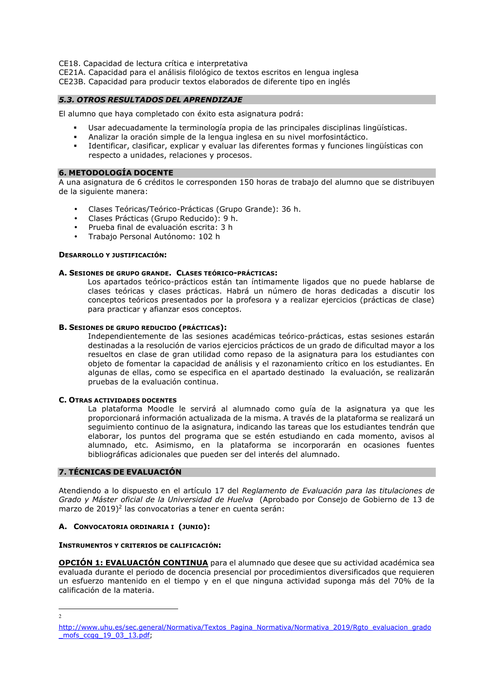CE18. Capacidad de lectura crítica e interpretativa

CE21A. Capacidad para el análisis filológico de textos escritos en lengua inglesa CE23B. Capacidad para producir textos elaborados de diferente tipo en inglés

## *5.3. OTROS RESULTADOS DEL APRENDIZAJE*

El alumno que haya completado con éxito esta asignatura podrá:

- Usar adecuadamente la terminología propia de las principales disciplinas lingüísticas.
- Analizar la oración simple de la lengua inglesa en su nivel morfosintáctico.
- Identificar, clasificar, explicar y evaluar las diferentes formas y funciones lingüísticas con respecto a unidades, relaciones y procesos.

#### **6. METODOLOGÍA DOCENTE**

A una asignatura de 6 créditos le corresponden 150 horas de trabajo del alumno que se distribuyen de la siguiente manera:

- Clases Teóricas/Teórico-Prácticas (Grupo Grande): 36 h.
- Clases Prácticas (Grupo Reducido): 9 h.
- Prueba final de evaluación escrita: 3 h
- Trabajo Personal Autónomo: 102 h

#### **DESARROLLO Y JUSTIFICACIÓN:**

#### **A. SESIONES DE GRUPO GRANDE. CLASES TEÓRICO-PRÁCTICAS:**

Los apartados teórico-prácticos están tan íntimamente ligados que no puede hablarse de clases teóricas y clases prácticas. Habrá un número de horas dedicadas a discutir los conceptos teóricos presentados por la profesora y a realizar ejercicios (prácticas de clase) para practicar y afianzar esos conceptos.

#### **B. SESIONES DE GRUPO REDUCIDO (PRÁCTICAS):**

Independientemente de las sesiones académicas teórico-prácticas, estas sesiones estarán destinadas a la resolución de varios ejercicios prácticos de un grado de dificultad mayor a los resueltos en clase de gran utilidad como repaso de la asignatura para los estudiantes con objeto de fomentar la capacidad de análisis y el razonamiento crítico en los estudiantes. En algunas de ellas, como se especifica en el apartado destinado la evaluación, se realizarán pruebas de la evaluación continua.

#### **C. OTRAS ACTIVIDADES DOCENTES**

La plataforma Moodle le servirá al alumnado como guía de la asignatura ya que les proporcionará información actualizada de la misma. A través de la plataforma se realizará un seguimiento continuo de la asignatura, indicando las tareas que los estudiantes tendrán que elaborar, los puntos del programa que se estén estudiando en cada momento, avisos al alumnado, etc. Asimismo, en la plataforma se incorporarán en ocasiones fuentes bibliográficas adicionales que pueden ser del interés del alumnado.

## **7. TÉCNICAS DE EVALUACIÓN**

Atendiendo a lo dispuesto en el artículo 17 del *Reglamento de Evaluación para las titulaciones de Grado y Máster oficial de la Universidad de Huelva* (Aprobado por Consejo de Gobierno de 13 de marzo de 2019)<sup>2</sup> las convocatorias a tener en cuenta serán:

## **A. CONVOCATORIA ORDINARIA I (JUNIO):**

#### **INSTRUMENTOS Y CRITERIOS DE CALIFICACIÓN:**

**OPCIÓN 1: EVALUACIÓN CONTINUA** para el alumnado que desee que su actividad académica sea evaluada durante el periodo de docencia presencial por procedimientos diversificados que requieren un esfuerzo mantenido en el tiempo y en el que ninguna actividad suponga más del 70% de la calificación de la materia.

 $\overline{2}$ 

http://www.uhu.es/sec.general/Normativa/Textos\_Pagina\_Normativa/Normativa\_2019/Rgto\_evaluacion\_grado \_mofs\_ccgg\_19\_03\_13.pdf;